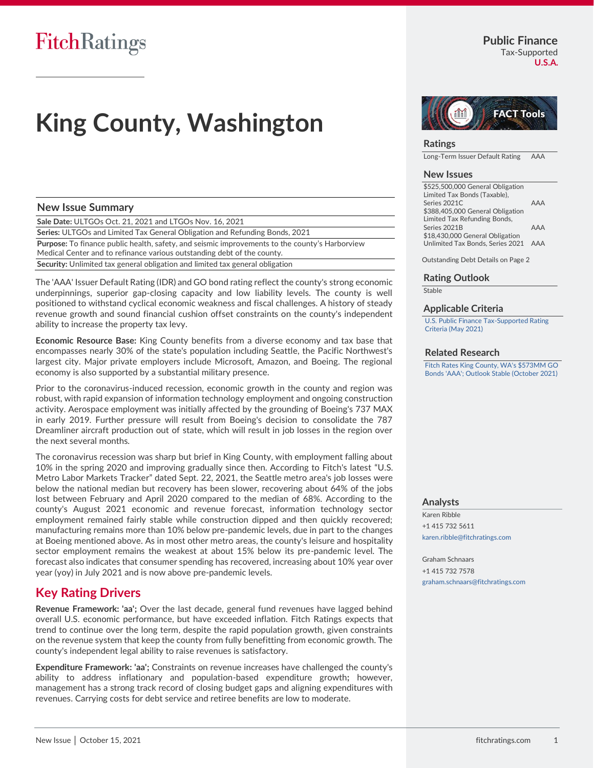# **King County, Washington**

### **New Issue Summary**

**Sale Date:** ULTGOs Oct. 21, 2021 and LTGOs Nov. 16, 2021

**Series:** ULTGOs and Limited Tax General Obligation and Refunding Bonds, 2021

**Purpose:** To finance public health, safety, and seismic improvements to the county's Harborview Medical Center and to refinance various outstanding debt of the county.

**Security:** Unlimited tax general obligation and limited tax general obligation

The 'AAA' Issuer Default Rating (IDR) and GO bond rating reflect the county's strong economic underpinnings, superior gap-closing capacity and low liability levels. The county is well positioned to withstand cyclical economic weakness and fiscal challenges. A history of steady revenue growth and sound financial cushion offset constraints on the county's independent ability to increase the property tax levy.

**Economic Resource Base:** King County benefits from a diverse economy and tax base that encompasses nearly 30% of the state's population including Seattle, the Pacific Northwest's largest city. Major private employers include Microsoft, Amazon, and Boeing. The regional economy is also supported by a substantial military presence.

Prior to the coronavirus-induced recession, economic growth in the county and region was robust, with rapid expansion of information technology employment and ongoing construction activity. Aerospace employment was initially affected by the grounding of Boeing's 737 MAX in early 2019. Further pressure will result from Boeing's decision to consolidate the 787 Dreamliner aircraft production out of state, which will result in job losses in the region over the next several months.

The coronavirus recession was sharp but brief in King County, with employment falling about 10% in the spring 2020 and improving gradually since then. According to Fitch's latest "U.S. Metro Labor Markets Tracker" dated Sept. 22, 2021, the Seattle metro area's job losses were below the national median but recovery has been slower, recovering about 64% of the jobs lost between February and April 2020 compared to the median of 68%. According to the county's August 2021 economic and revenue forecast, information technology sector employment remained fairly stable while construction dipped and then quickly recovered; manufacturing remains more than 10% below pre-pandemic levels, due in part to the changes at Boeing mentioned above. As in most other metro areas, the county's leisure and hospitality sector employment remains the weakest at about 15% below its pre-pandemic level. The forecast also indicates that consumer spending has recovered, increasing about 10% year over year (yoy) in July 2021 and is now above pre-pandemic levels.

### **Key Rating Drivers**

**Revenue Framework: 'aa';** Over the last decade, general fund revenues have lagged behind overall U.S. economic performance, but have exceeded inflation. Fitch Ratings expects that trend to continue over the long term, despite the rapid population growth, given constraints on the revenue system that keep the county from fully benefitting from economic growth. The county's independent legal ability to raise revenues is satisfactory.

**Expenditure Framework: 'aa';** Constraints on revenue increases have challenged the county's ability to address inflationary and population-based expenditure growth**;** however, management has a strong track record of closing budget gaps and aligning expenditures with revenues. Carrying costs for debt service and retiree benefits are low to moderate.



Long-Term Issuer Default Rating AAA

#### **New Issues**

\$525,500,000 General Obligation Limited Tax Bonds (Taxable), Series 2021C AAA \$388,405,000 General Obligation Limited Tax Refunding Bonds, Series 2021B AAA \$18,430,000 General Obligation Unlimited Tax Bonds, Series 2021 AAA

Outstanding Debt Details on Page 2

#### **Rating Outlook**

**Stable** 

#### **Applicable Criteria**

[U.S. Public Finance Tax-Supported Rating](http://www.fitchratings.com/creditdesk/reports/report_frame.cfm?rpt_id=993487)  [Criteria \(May 2021\)](http://www.fitchratings.com/creditdesk/reports/report_frame.cfm?rpt_id=993487)

#### **Related Research**

[Fitch Rates King County, WA's \\$573MM GO](https://www.fitchratings.com/site/pr/10180076)  [Bonds 'AAA'; Outlook Stable \(October 2021\)](https://www.fitchratings.com/site/pr/10180076)

#### **Analysts**

Karen Ribble +1 415 732 5611 karen.ribble@fitchratings.com

Graham Schnaars +1 415 732 7578 graham.schnaars@fitchratings.com **U.S.A.**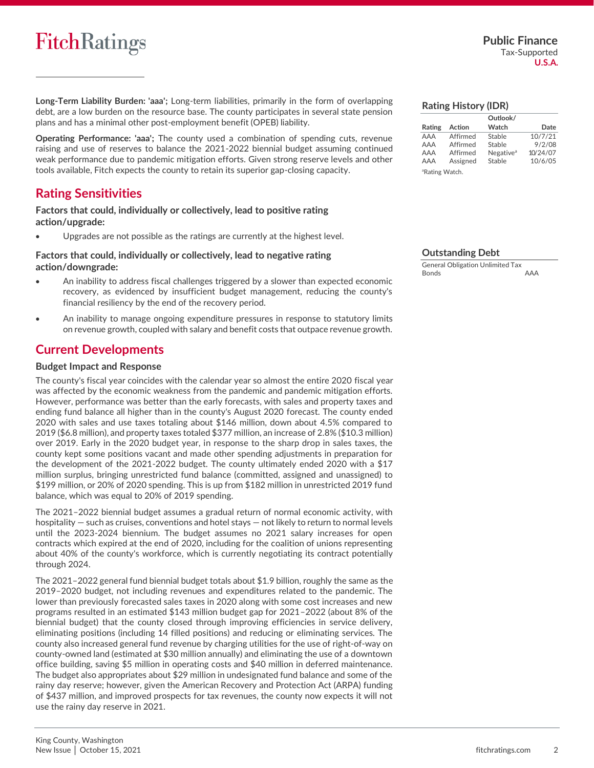# **FitchRatings**

**Long-Term Liability Burden: 'aaa';** Long-term liabilities, primarily in the form of overlapping debt, are a low burden on the resource base. The county participates in several state pension plans and has a minimal other post-employment benefit (OPEB) liability.

**Operating Performance: 'aaa';** The county used a combination of spending cuts, revenue raising and use of reserves to balance the 2021-2022 biennial budget assuming continued weak performance due to pandemic mitigation efforts. Given strong reserve levels and other tools available, Fitch expects the county to retain its superior gap-closing capacity.

# **Rating Sensitivities**

**Factors that could, individually or collectively, lead to positive rating action/upgrade:**

Upgrades are not possible as the ratings are currently at the highest level.

#### **Factors that could, individually or collectively, lead to negative rating action/downgrade:**

- An inability to address fiscal challenges triggered by a slower than expected economic recovery, as evidenced by insufficient budget management, reducing the county's financial resiliency by the end of the recovery period.
- An inability to manage ongoing expenditure pressures in response to statutory limits on revenue growth, coupled with salary and benefit costs that outpace revenue growth.

### **Current Developments**

#### **Budget Impact and Response**

The county's fiscal year coincides with the calendar year so almost the entire 2020 fiscal year was affected by the economic weakness from the pandemic and pandemic mitigation efforts. However, performance was better than the early forecasts, with sales and property taxes and ending fund balance all higher than in the county's August 2020 forecast. The county ended 2020 with sales and use taxes totaling about \$146 million, down about 4.5% compared to 2019 (\$6.8 million), and property taxes totaled \$377 million, an increase of 2.8% (\$10.3 million) over 2019. Early in the 2020 budget year, in response to the sharp drop in sales taxes, the county kept some positions vacant and made other spending adjustments in preparation for the development of the 2021-2022 budget. The county ultimately ended 2020 with a \$17 million surplus, bringing unrestricted fund balance (committed, assigned and unassigned) to \$199 million, or 20% of 2020 spending. This is up from \$182 million in unrestricted 2019 fund balance, which was equal to 20% of 2019 spending.

The 2021–2022 biennial budget assumes a gradual return of normal economic activity, with hospitality — such as cruises, conventions and hotel stays — not likely to return to normal levels until the 2023-2024 biennium. The budget assumes no 2021 salary increases for open contracts which expired at the end of 2020, including for the coalition of unions representing about 40% of the county's workforce, which is currently negotiating its contract potentially through 2024.

The 2021–2022 general fund biennial budget totals about \$1.9 billion, roughly the same as the 2019–2020 budget, not including revenues and expenditures related to the pandemic. The lower than previously forecasted sales taxes in 2020 along with some cost increases and new programs resulted in an estimated \$143 million budget gap for 2021–2022 (about 8% of the biennial budget) that the county closed through improving efficiencies in service delivery, eliminating positions (including 14 filled positions) and reducing or eliminating services. The county also increased general fund revenue by charging utilities for the use of right-of-way on county-owned land (estimated at \$30 million annually) and eliminating the use of a downtown office building, saving \$5 million in operating costs and \$40 million in deferred maintenance. The budget also appropriates about \$29 million in undesignated fund balance and some of the rainy day reserve; however, given the American Recovery and Protection Act (ARPA) funding of \$437 million, and improved prospects for tax revenues, the county now expects it will not use the rainy day reserve in 2021.

#### **Rating History (IDR)**

|                            |          | Outlook/              |          |
|----------------------------|----------|-----------------------|----------|
| Rating                     | Action   | Watch                 | Date     |
| AAA                        | Affirmed | Stable                | 10/7/21  |
| AAA                        | Affirmed | Stable                | 9/2/08   |
| AAA                        | Affirmed | Negative <sup>a</sup> | 10/24/07 |
| AAA                        | Assigned | Stable                | 10/6/05  |
| <sup>a</sup> Rating Watch. |          |                       |          |

#### **Outstanding Debt**

| <b>General Obligation Unlimited Tax</b> |     |
|-----------------------------------------|-----|
| <b>Bonds</b>                            | AAA |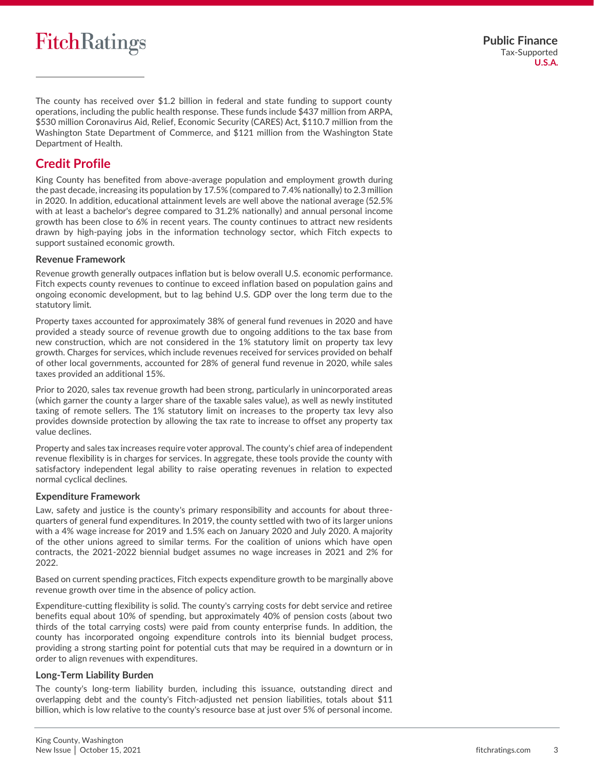# **FitchRatings**

The county has received over \$1.2 billion in federal and state funding to support county operations, including the public health response. These funds include \$437 million from ARPA, \$530 million Coronavirus Aid, Relief, Economic Security (CARES) Act, \$110.7 million from the Washington State Department of Commerce, and \$121 million from the Washington State Department of Health.

# **Credit Profile**

King County has benefited from above-average population and employment growth during the past decade, increasing its population by 17.5% (compared to 7.4% nationally) to 2.3 million in 2020. In addition, educational attainment levels are well above the national average (52.5% with at least a bachelor's degree compared to 31.2% nationally) and annual personal income growth has been close to 6% in recent years. The county continues to attract new residents drawn by high-paying jobs in the information technology sector, which Fitch expects to support sustained economic growth.

### **Revenue Framework**

Revenue growth generally outpaces inflation but is below overall U.S. economic performance. Fitch expects county revenues to continue to exceed inflation based on population gains and ongoing economic development, but to lag behind U.S. GDP over the long term due to the statutory limit.

Property taxes accounted for approximately 38% of general fund revenues in 2020 and have provided a steady source of revenue growth due to ongoing additions to the tax base from new construction, which are not considered in the 1% statutory limit on property tax levy growth. Charges for services, which include revenues received for services provided on behalf of other local governments, accounted for 28% of general fund revenue in 2020, while sales taxes provided an additional 15%.

Prior to 2020, sales tax revenue growth had been strong, particularly in unincorporated areas (which garner the county a larger share of the taxable sales value), as well as newly instituted taxing of remote sellers. The 1% statutory limit on increases to the property tax levy also provides downside protection by allowing the tax rate to increase to offset any property tax value declines.

Property and sales tax increases require voter approval. The county's chief area of independent revenue flexibility is in charges for services. In aggregate, these tools provide the county with satisfactory independent legal ability to raise operating revenues in relation to expected normal cyclical declines.

#### **Expenditure Framework**

Law, safety and justice is the county's primary responsibility and accounts for about threequarters of general fund expenditures. In 2019, the county settled with two of its larger unions with a 4% wage increase for 2019 and 1.5% each on January 2020 and July 2020. A majority of the other unions agreed to similar terms. For the coalition of unions which have open contracts, the 2021-2022 biennial budget assumes no wage increases in 2021 and 2% for 2022.

Based on current spending practices, Fitch expects expenditure growth to be marginally above revenue growth over time in the absence of policy action.

Expenditure-cutting flexibility is solid. The county's carrying costs for debt service and retiree benefits equal about 10% of spending, but approximately 40% of pension costs (about two thirds of the total carrying costs) were paid from county enterprise funds. In addition, the county has incorporated ongoing expenditure controls into its biennial budget process, providing a strong starting point for potential cuts that may be required in a downturn or in order to align revenues with expenditures.

#### **Long-Term Liability Burden**

The county's long-term liability burden, including this issuance, outstanding direct and overlapping debt and the county's Fitch-adjusted net pension liabilities, totals about \$11 billion, which is low relative to the county's resource base at just over 5% of personal income.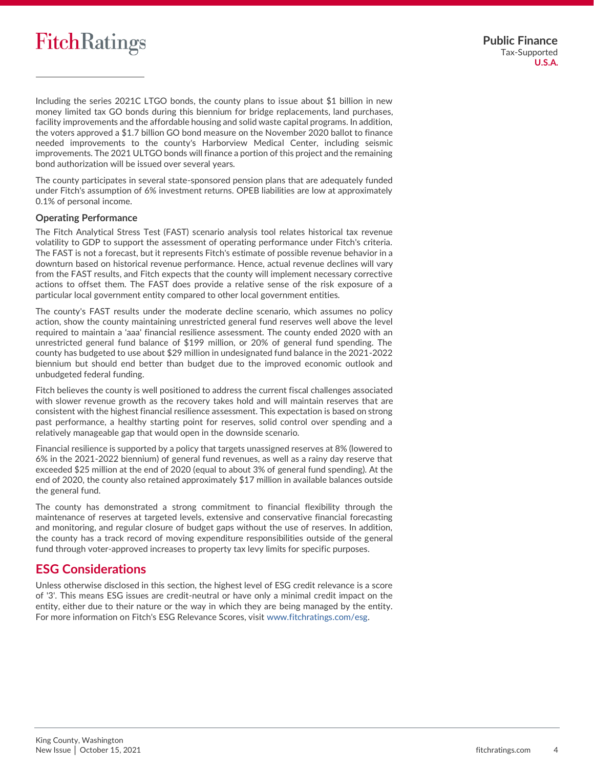# **FitchRatings**

Including the series 2021C LTGO bonds, the county plans to issue about \$1 billion in new money limited tax GO bonds during this biennium for bridge replacements, land purchases, facility improvements and the affordable housing and solid waste capital programs. In addition, the voters approved a \$1.7 billion GO bond measure on the November 2020 ballot to finance needed improvements to the county's Harborview Medical Center, including seismic improvements. The 2021 ULTGO bonds will finance a portion of this project and the remaining bond authorization will be issued over several years.

The county participates in several state-sponsored pension plans that are adequately funded under Fitch's assumption of 6% investment returns. OPEB liabilities are low at approximately 0.1% of personal income.

### **Operating Performance**

The Fitch Analytical Stress Test (FAST) scenario analysis tool relates historical tax revenue volatility to GDP to support the assessment of operating performance under Fitch's criteria. The FAST is not a forecast, but it represents Fitch's estimate of possible revenue behavior in a downturn based on historical revenue performance. Hence, actual revenue declines will vary from the FAST results, and Fitch expects that the county will implement necessary corrective actions to offset them. The FAST does provide a relative sense of the risk exposure of a particular local government entity compared to other local government entities.

The county's FAST results under the moderate decline scenario, which assumes no policy action, show the county maintaining unrestricted general fund reserves well above the level required to maintain a 'aaa' financial resilience assessment. The county ended 2020 with an unrestricted general fund balance of \$199 million, or 20% of general fund spending. The county has budgeted to use about \$29 million in undesignated fund balance in the 2021-2022 biennium but should end better than budget due to the improved economic outlook and unbudgeted federal funding.

Fitch believes the county is well positioned to address the current fiscal challenges associated with slower revenue growth as the recovery takes hold and will maintain reserves that are consistent with the highest financial resilience assessment. This expectation is based on strong past performance, a healthy starting point for reserves, solid control over spending and a relatively manageable gap that would open in the downside scenario.

Financial resilience is supported by a policy that targets unassigned reserves at 8% (lowered to 6% in the 2021-2022 biennium) of general fund revenues, as well as a rainy day reserve that exceeded \$25 million at the end of 2020 (equal to about 3% of general fund spending). At the end of 2020, the county also retained approximately \$17 million in available balances outside the general fund.

The county has demonstrated a strong commitment to financial flexibility through the maintenance of reserves at targeted levels, extensive and conservative financial forecasting and monitoring, and regular closure of budget gaps without the use of reserves. In addition, the county has a track record of moving expenditure responsibilities outside of the general fund through voter-approved increases to property tax levy limits for specific purposes.

# **ESG Considerations**

Unless otherwise disclosed in this section, the highest level of ESG credit relevance is a score of '3'. This means ESG issues are credit-neutral or have only a minimal credit impact on the entity, either due to their nature or the way in which they are being managed by the entity. For more information on Fitch's ESG Relevance Scores, visit [www.fitchratings.com/esg.](https://www.fitchratings.com/topics/esg)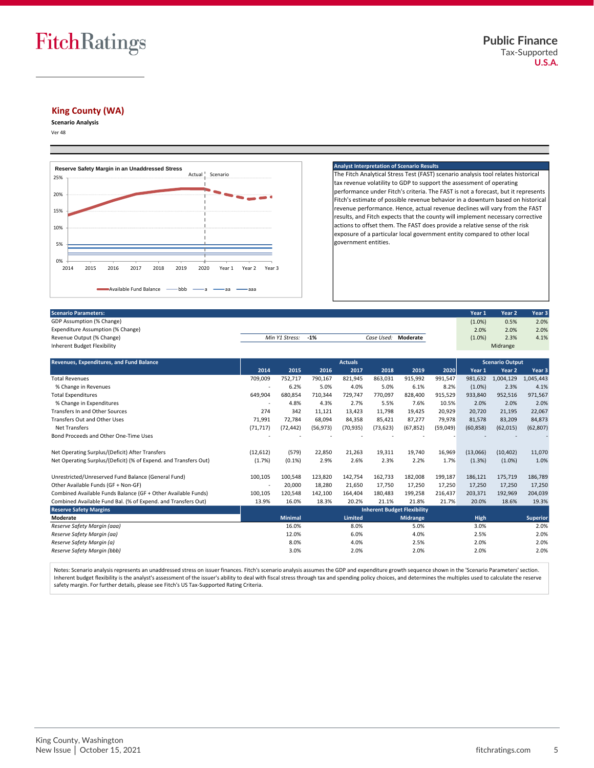

#### **King County (WA)**

**Scenario Analysis**

Ver 48



#### **Analyst Interpretation of Scenario Results**

The Fitch Analytical Stress Test (FAST) scenario analysis tool relates historical tax revenue volatility to GDP to support the assessment of operating performance under Fitch's criteria. The FAST is not a forecast, but it represents Fitch's estimate of possible revenue behavior in a downturn based on historical revenue performance. Hence, actual revenue declines will vary from the FAST results, and Fitch expects that the county will implement necessary corrective actions to offset them. The FAST does provide a relative sense of the risk exposure of a particular local government entity compared to other local government entities.

| <b>Scenario Parameters:</b>       |                    |  |                     | Year 1    | Year <sub>2</sub> | Year <sub>3</sub> |
|-----------------------------------|--------------------|--|---------------------|-----------|-------------------|-------------------|
| GDP Assumption (% Change)         |                    |  |                     | $(1.0\%)$ | 0.5%              | 2.0%              |
| Expenditure Assumption (% Change) |                    |  |                     | 2.0%      | 2.0%              | 2.0%              |
| Revenue Output (% Change)         | Min Y1 Stress: -1% |  | Case Used: Moderate | (1.0%)    | 2.3%              | 4.1%              |
| Inherent Budget Flexibility       |                    |  |                     |           | Midrange          |                   |

| <b>Revenues, Expenditures, and Fund Balance</b>                  |                                    | <b>Actuals</b> |           |                |           |                 | <b>Scenario Output</b> |             |           |                 |
|------------------------------------------------------------------|------------------------------------|----------------|-----------|----------------|-----------|-----------------|------------------------|-------------|-----------|-----------------|
|                                                                  | 2014                               | 2015           | 2016      | 2017           | 2018      | 2019            | 2020                   | Year 1      | Year 2    | Year 3          |
| <b>Total Revenues</b>                                            |                                    | 752,717        | 790,167   | 821,945        | 863,031   | 915,992         | 991,547                | 981,632     | 1,004,129 | 1,045,443       |
| % Change in Revenues                                             |                                    | 6.2%           | 5.0%      | 4.0%           | 5.0%      | 6.1%            | 8.2%                   | $(1.0\%)$   | 2.3%      | 4.1%            |
| <b>Total Expenditures</b>                                        |                                    | 680.854        | 710.344   | 729,747        | 770,097   | 828,400         | 915,529                | 933,840     | 952,516   | 971,567         |
| % Change in Expenditures                                         |                                    | 4.8%           | 4.3%      | 2.7%           | 5.5%      | 7.6%            | 10.5%                  | 2.0%        | 2.0%      | 2.0%            |
| Transfers In and Other Sources                                   |                                    | 342            | 11,121    | 13,423         | 11.798    | 19,425          | 20,929                 | 20,720      | 21,195    | 22,067          |
| Transfers Out and Other Uses                                     | 71,991                             | 72,784         | 68,094    | 84,358         | 85,421    | 87,277          | 79,978                 | 81,578      | 83,209    | 84,873          |
| <b>Net Transfers</b>                                             | (71, 717)                          | (72, 442)      | (56, 973) | (70, 935)      | (73, 623) | (67, 852)       | (59,049)               | (60, 858)   | (62, 015) | (62, 807)       |
| Bond Proceeds and Other One-Time Uses                            |                                    |                |           |                |           |                 |                        |             |           |                 |
| Net Operating Surplus/(Deficit) After Transfers                  | (12, 612)                          | (579)          | 22,850    | 21,263         | 19,311    | 19,740          | 16,969                 | (13,066)    | (10, 402) | 11,070          |
| Net Operating Surplus/(Deficit) (% of Expend. and Transfers Out) | (1.7%                              | $(0.1\%)$      | 2.9%      | 2.6%           | 2.3%      | 2.2%            | 1.7%                   | (1.3%)      | $(1.0\%)$ | 1.0%            |
| Unrestricted/Unreserved Fund Balance (General Fund)              | 100,105                            | 100,548        | 123,820   | 142,754        | 162,733   | 182,008         | 199,187                | 186,121     | 175,719   | 186,789         |
| Other Available Funds (GF + Non-GF)                              |                                    | 20,000         | 18,280    | 21,650         | 17,750    | 17,250          | 17,250                 | 17,250      | 17,250    | 17,250          |
| Combined Available Funds Balance (GF + Other Available Funds)    | 100,105                            | 120,548        | 142,100   | 164,404        | 180,483   | 199,258         | 216,437                | 203,371     | 192,969   | 204,039         |
| Combined Available Fund Bal. (% of Expend. and Transfers Out)    | 13.9%                              | 16.0%          | 18.3%     | 20.2%          | 21.1%     | 21.8%           | 21.7%                  | 20.0%       | 18.6%     | 19.3%           |
| <b>Reserve Safety Margins</b>                                    | <b>Inherent Budget Flexibility</b> |                |           |                |           |                 |                        |             |           |                 |
| Moderate                                                         |                                    | <b>Minimal</b> |           | <b>Limited</b> |           | <b>Midrange</b> |                        | <b>High</b> |           | <b>Superior</b> |
| Reserve Safety Margin (aaa)                                      |                                    | 16.0%          |           | 8.0%           |           | 5.0%            |                        | 3.0%        |           | 2.0%            |
| Reserve Safety Margin (aa)                                       |                                    | 12.0%          |           | 6.0%           |           | 4.0%            |                        | 2.5%        |           | 2.0%            |
| Reserve Safety Margin (a)                                        |                                    | 8.0%           |           | 4.0%           |           | 2.5%            |                        | 2.0%        |           | 2.0%            |
| Reserve Safety Margin (bbb)                                      |                                    | 3.0%           |           | 2.0%           |           | 2.0%            |                        | 2.0%        |           | 2.0%            |

Notes: Scenario analysis represents an unaddressed stress on issuer finances. Fitch's scenario analysis assumes the GDP and expenditure growth sequence shown in the 'Scenario Parameters' section. Inherent budget flexibility is the analyst's assessment of the issuer's ability to deal with fiscal stress through tax and spending policy choices, and determines the multiples used to calculate the reserve safety margin. For further details, please see Fitch's US Tax-Supported Rating Criteria.